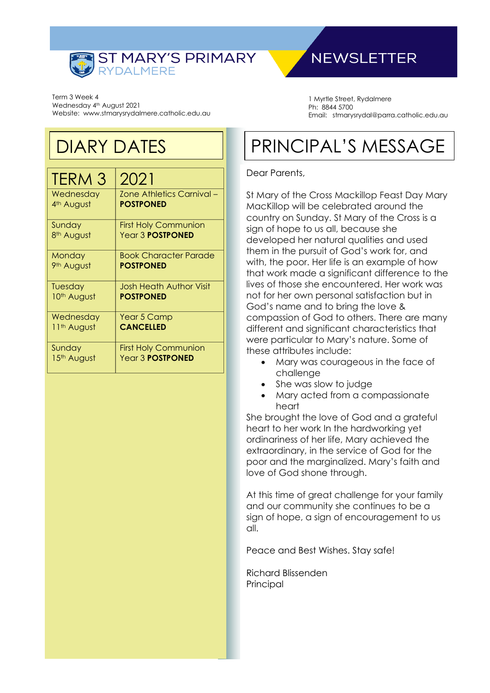

Term 3 Week 4 Wednesday 4<sup>th</sup> August 2021 Website: www.stmarysrydalmere.catholic.edu.au

# DIARY DATES

| TERM 3                  | 2021                             |
|-------------------------|----------------------------------|
| Wednesday               | <b>Zone Athletics Carnival -</b> |
| 4th August              | <b>POSTPONED</b>                 |
| Sunday                  | <b>First Holy Communion</b>      |
| 8 <sup>th</sup> August  | Year 3 <b>POSTPONED</b>          |
| Monday                  | <b>Book Character Parade</b>     |
| 9 <sup>th</sup> August  | <b>POSTPONED</b>                 |
| Tuesday                 | <b>Josh Heath Author Visit</b>   |
| 10th August             | <b>POSTPONED</b>                 |
| Wednesday               | Year 5 Camp                      |
| 11 <sup>th</sup> August | <b>CANCELLED</b>                 |
| Sunday                  | <b>First Holy Communion</b>      |
| 15th August             | Year 3 <b>POSTPONED</b>          |

# **NEWSLETTER**

1 Myrtle Street, Rydalmere Ph: 8844 5700 Email: stmarysrydal@parra.catholic.edu.au

# PRINCIPAL'S MESSAGE

### Dear Parents,

St Mary of the Cross Mackillop Feast Day Mary MacKillop will be celebrated around the country on Sunday. St Mary of the Cross is a sign of hope to us all, because she developed her natural qualities and used them in the pursuit of God's work for, and with, the poor. Her life is an example of how that work made a significant difference to the lives of those she encountered. Her work was not for her own personal satisfaction but in God's name and to bring the love & compassion of God to others. There are many different and significant characteristics that were particular to Mary's nature. Some of these attributes include:

- Mary was courageous in the face of challenge
- She was slow to judge
- Mary acted from a compassionate heart

She brought the love of God and a grateful heart to her work In the hardworking yet ordinariness of her life, Mary achieved the extraordinary, in the service of God for the poor and the marginalized. Mary's faith and love of God shone through.

At this time of great challenge for your family and our community she continues to be a sign of hope, a sign of encouragement to us all.

Peace and Best Wishes. Stay safe!

Richard Blissenden Principal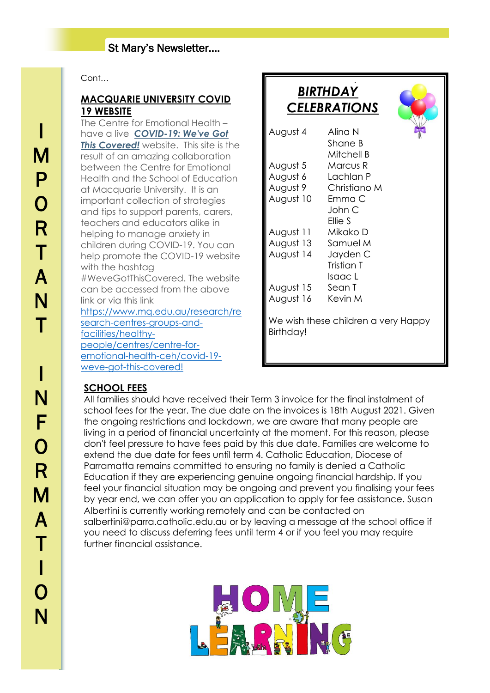## St Mary's Newsletter….

### Cont…

### **MACQUARIE UNIVERSITY COVID 19 WEBSITE**

The Centre for Emotional Health – have a live *[COVID-19: We've Got](https://protect-au.mimecast.com/s/DKOlCXLW6DimGzgXHLA76s?domain=centreforemotionalhealth.cmail20.com)*  **[This Covered!](https://protect-au.mimecast.com/s/DKOlCXLW6DimGzgXHLA76s?domain=centreforemotionalhealth.cmail20.com)** website. This site is the result of an amazing collaboration between the Centre for Emotional Health and the School of Education at Macquarie University. It is an important collection of strategies and tips to support parents, carers, teachers and educators alike in helping to manage anxiety in children during COVID-19. You can help promote the COVID-19 website with the hashtag #WeveGotThisCovered. The website can be accessed from the above link or via this link [https://www.mq.edu.au/research/re](https://www.mq.edu.au/research/research-centres-groups-and-facilities/healthy-people/centres/centre-for-emotional-health-ceh/covid-19-weve-got-this-covered!) [search-centres-groups-and](https://www.mq.edu.au/research/research-centres-groups-and-facilities/healthy-people/centres/centre-for-emotional-health-ceh/covid-19-weve-got-this-covered!)[facilities/healthy](https://www.mq.edu.au/research/research-centres-groups-and-facilities/healthy-people/centres/centre-for-emotional-health-ceh/covid-19-weve-got-this-covered!)[people/centres/centre-for-](https://www.mq.edu.au/research/research-centres-groups-and-facilities/healthy-people/centres/centre-for-emotional-health-ceh/covid-19-weve-got-this-covered!)

[emotional-health-ceh/covid-19](https://www.mq.edu.au/research/research-centres-groups-and-facilities/healthy-people/centres/centre-for-emotional-health-ceh/covid-19-weve-got-this-covered!) [weve-got-this-covered!](https://www.mq.edu.au/research/research-centres-groups-and-facilities/healthy-people/centres/centre-for-emotional-health-ceh/covid-19-weve-got-this-covered!)

|                                                         | <b>BIRTHDAY</b><br><b>CELEBRATIONS</b> |
|---------------------------------------------------------|----------------------------------------|
| August 4                                                | Alina N<br>Shane B<br>Mitchell B       |
| August 5                                                | Marcus R                               |
| August 6                                                | Lachlan P                              |
| August 9                                                | Christiano M                           |
| August 10                                               | Emma C<br>John C<br>Ellie S            |
| August 11                                               | Mikako D                               |
| August 13                                               | Samuel M                               |
| August 14                                               | Jayden C<br>Tristian T<br>Isaac L      |
| August 15                                               | Sean T                                 |
| August 16                                               | Kevin M                                |
| We wish these children a very Happy<br><b>Birthday!</b> |                                        |

### **SCHOOL FEES**

All families should have received their Term 3 invoice for the final instalment of school fees for the year. The due date on the invoices is 18th August 2021. Given the ongoing restrictions and lockdown, we are aware that many people are living in a period of financial uncertainty at the moment. For this reason, please don't feel pressure to have fees paid by this due date. Families are welcome to extend the due date for fees until term 4. Catholic Education, Diocese of Parramatta remains committed to ensuring no family is denied a Catholic Education if they are experiencing genuine ongoing financial hardship. If you feel your financial situation may be ongoing and prevent you finalising your fees by year end, we can offer you an application to apply for fee assistance. Susan Albertini is currently working remotely and can be contacted on salbertini@parra.catholic.edu.au or by leaving a message at the school office if you need to discuss deferring fees until term 4 or if you feel you may require further financial assistance.

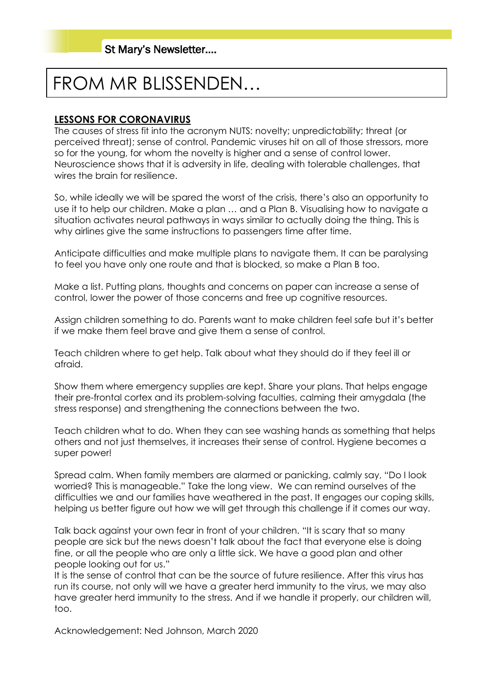# FROM MR BLISSENDEN…

### **LESSONS FOR CORONAVIRUS**

The causes of stress fit into the acronym NUTS: novelty; unpredictability; threat (or perceived threat); sense of control. Pandemic viruses hit on all of those stressors, more so for the young, for whom the novelty is higher and a sense of control lower. Neuroscience shows that it is adversity in life, dealing with tolerable challenges, that wires the brain for resilience.

So, while ideally we will be spared the worst of the crisis, there's also an opportunity to use it to help our children. Make a plan … and a Plan B. Visualising how to navigate a situation activates neural pathways in ways similar to actually doing the thing. This is why airlines give the same instructions to passengers time after time.

Anticipate difficulties and make multiple plans to navigate them. It can be paralysing to feel you have only one route and that is blocked, so make a Plan B too.

Make a list. Putting plans, thoughts and concerns on paper can increase a sense of control, lower the power of those concerns and free up cognitive resources.

Assign children something to do. Parents want to make children feel safe but it's better if we make them feel brave and give them a sense of control.

Teach children where to get help. Talk about what they should do if they feel ill or afraid.

Show them where emergency supplies are kept. Share your plans. That helps engage their pre-frontal cortex and its problem-solving faculties, calming their amygdala (the stress response) and strengthening the connections between the two.

Teach children what to do. When they can see washing hands as something that helps others and not just themselves, it increases their sense of control. Hygiene becomes a super power!

Spread calm. When family members are alarmed or panicking, calmly say, "Do I look worried? This is manageable." Take the long view. We can remind ourselves of the difficulties we and our families have weathered in the past. It engages our coping skills, helping us better figure out how we will get through this challenge if it comes our way.

Talk back against your own fear in front of your children. "It is scary that so many people are sick but the news doesn't talk about the fact that everyone else is doing fine, or all the people who are only a little sick. We have a good plan and other people looking out for us."

It is the sense of control that can be the source of future resilience. After this virus has run its course, not only will we have a greater herd immunity to the virus, we may also have greater herd immunity to the stress. And if we handle it properly, our children will, too.

Acknowledgement: Ned Johnson, March 2020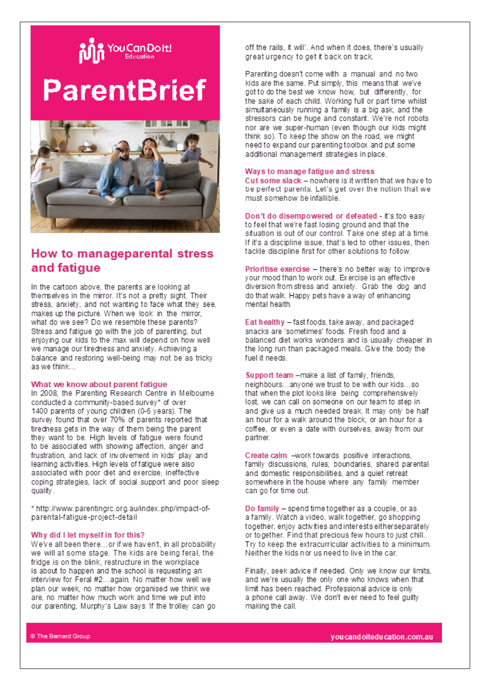

# **ParentBrief**



## How to manageparental stress and fatigue

In the cartoon above, the parents are looking at themselves in the mirror. It's not a pretty sight. Their stress, anxiety, and not wanting to face what they see, makes up the picture. When we look in the mirror, what do we see? Do we resemble these parents? Stress and fatigue go with the job of parenting, but enioving our kids to the max will depend on how well we manage our tiredness and anxiety. Achieving a balance and restoring well-being may not be as tricky as we think...

### What we know about parent fatigue

In 2008, the Parenting Research Centre in Melbourne conducted a community-based survey\* of over 1400 parents of young children (0-6 years). The survey found that over 70% of parents reported that tiredness gets in the way of them being the parent they want to be. High levels of fatigue were found to be associated with showing affection, anger and frustration, and lack of involvement in kids' play and learning activities. High levels of fatigue were also associated with poor diet and exercise, ineffective coping strategies, lack of social support and poor sleep quality.

\* http://www.parentingrc.org.au/index.php/impact-ofparental-fatigue-project-detail

#### Why did I let myself in for this?

We've all been there...or if we haven't, in all probability we will at some stage. The kids are being feral, the fridge is on the blink, restructure in the workplace is about to happen and the school is requesting an interview for Feral #2...again. No matter how well we plan our week, no matter how organised we think we are, no matter how much work and time we put into our parenting, Murphy's Law says 'if the trolley can go off the rails, it will'. And when it does, there's usually great urgency to get it back on track.

Parenting doesn't come with a manual and no two kids are the same. Put simply, this means that we've got to do the best we know how, but differently, for the sake of each child. Working full or part time whilst simultaneously running a family is a big ask, and the stressors can be huge and constant. We're not robots nor are we super-human (even though our kids might think so). To keep the show on the road, we might need to expand our parenting toolbox and put some additional management strategies in place.

### Ways to manage fatique and stress

Cut some slack - nowhere is it written that we have to be perfect parents. Let's get over the notion that we must somehow be infallible.

Don't do disempowered or defeated - it's too easy to feel that we're fast losing ground and that the situation is out of our control. Take one step at a time. If it's a discipline issue, that's led to other issues, then tackle discipline first for other solutions to follow.

Prioritise exercise - there's no better way to improve vour mood than to work out. Exercise is an effective diversion from stress and anxiety. Grab the doo and do that walk. Happy pets have a way of enhancing mental health.

Eat healthy - fast foods, take away, and packaged snacks are 'sometimes' foods. Fresh food and a balanced diet works wonders and is usually cheaper in the long run than packaged meals. Give the body the fuel it needs.

Support team -make a list of family, friends, neighbours...anyone we trust to be with our kids...so that when the plot looks like being comprehensively lost, we can call on someone on our team to step in and give us a much needed break. It may only be half an hour for a walk around the block, or an hour for a coffee, or even a date with ourselves, away from our partner.

Create calm -work towards positive interactions. family discussions, rules, boundaries, shared parental and domestic responsibilities, and a quiet retreat somewhere in the house where any family member can go for time out.

Do family - spend time together as a couple, or as a family. Watch a video, walk together, go shopping together, enjoy activities and interests eitherseparately or to gether. Find that precious few hours to just chill. Try to keep the extracurricular activities to a minimum. Neither the kids nor us need to live in the car.

Finally, seek advice if needed. Only we know our limits, and we're usually the only one who knows when that limit has been reached. Professional advice is only a phone call away. We don't ever need to feel guilty making the call.